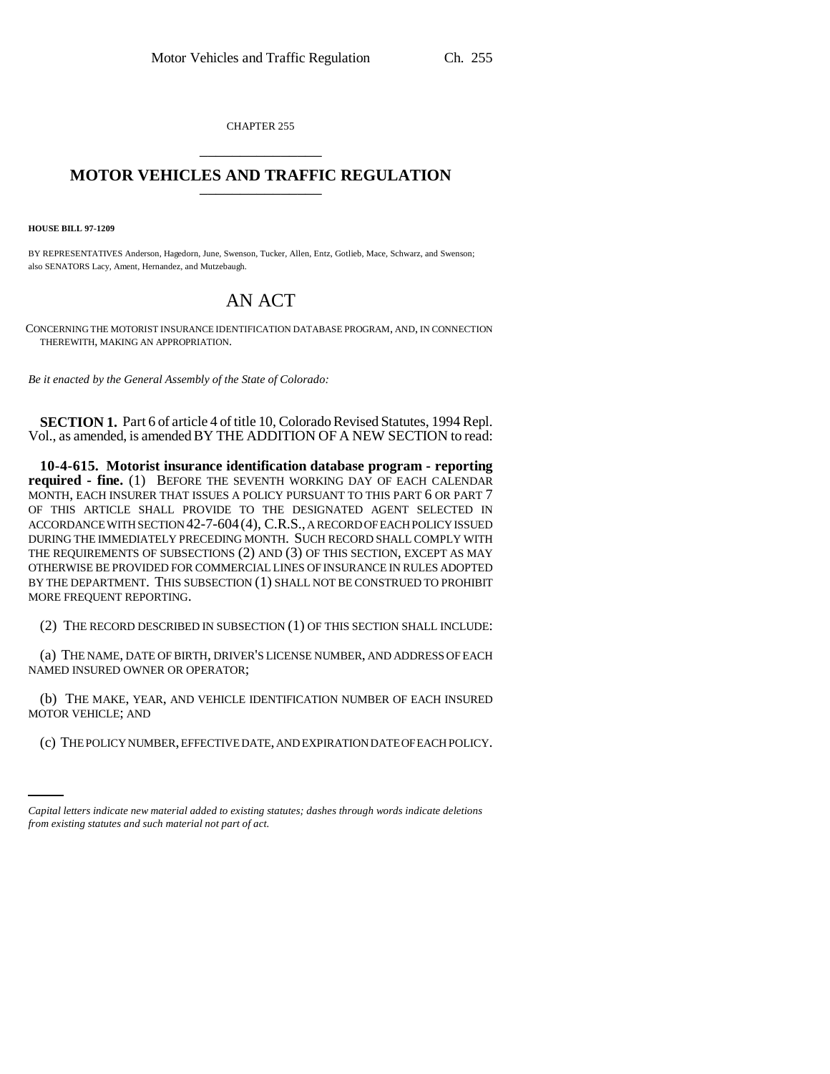CHAPTER 255 \_\_\_\_\_\_\_\_\_\_\_\_\_\_\_

## **MOTOR VEHICLES AND TRAFFIC REGULATION**

**HOUSE BILL 97-1209**

BY REPRESENTATIVES Anderson, Hagedorn, June, Swenson, Tucker, Allen, Entz, Gotlieb, Mace, Schwarz, and Swenson; also SENATORS Lacy, Ament, Hernandez, and Mutzebaugh.

## AN ACT

CONCERNING THE MOTORIST INSURANCE IDENTIFICATION DATABASE PROGRAM, AND, IN CONNECTION THEREWITH, MAKING AN APPROPRIATION.

*Be it enacted by the General Assembly of the State of Colorado:*

**SECTION 1.** Part 6 of article 4 of title 10, Colorado Revised Statutes, 1994 Repl. Vol., as amended, is amended BY THE ADDITION OF A NEW SECTION to read:

**10-4-615. Motorist insurance identification database program - reporting required - fine.** (1) BEFORE THE SEVENTH WORKING DAY OF EACH CALENDAR MONTH, EACH INSURER THAT ISSUES A POLICY PURSUANT TO THIS PART 6 OR PART 7 OF THIS ARTICLE SHALL PROVIDE TO THE DESIGNATED AGENT SELECTED IN ACCORDANCE WITH SECTION 42-7-604(4), C.R.S., A RECORD OF EACH POLICY ISSUED DURING THE IMMEDIATELY PRECEDING MONTH. SUCH RECORD SHALL COMPLY WITH THE REQUIREMENTS OF SUBSECTIONS (2) AND (3) OF THIS SECTION, EXCEPT AS MAY OTHERWISE BE PROVIDED FOR COMMERCIAL LINES OF INSURANCE IN RULES ADOPTED BY THE DEPARTMENT. THIS SUBSECTION (1) SHALL NOT BE CONSTRUED TO PROHIBIT MORE FREQUENT REPORTING.

(2) THE RECORD DESCRIBED IN SUBSECTION (1) OF THIS SECTION SHALL INCLUDE:

(a) THE NAME, DATE OF BIRTH, DRIVER'S LICENSE NUMBER, AND ADDRESS OF EACH NAMED INSURED OWNER OR OPERATOR;

(b) THE MAKE, YEAR, AND VEHICLE IDENTIFICATION NUMBER OF EACH INSURED MOTOR VEHICLE; AND

(c) THE POLICY NUMBER, EFFECTIVE DATE, AND EXPIRATION DATE OF EACH POLICY.

*Capital letters indicate new material added to existing statutes; dashes through words indicate deletions from existing statutes and such material not part of act.*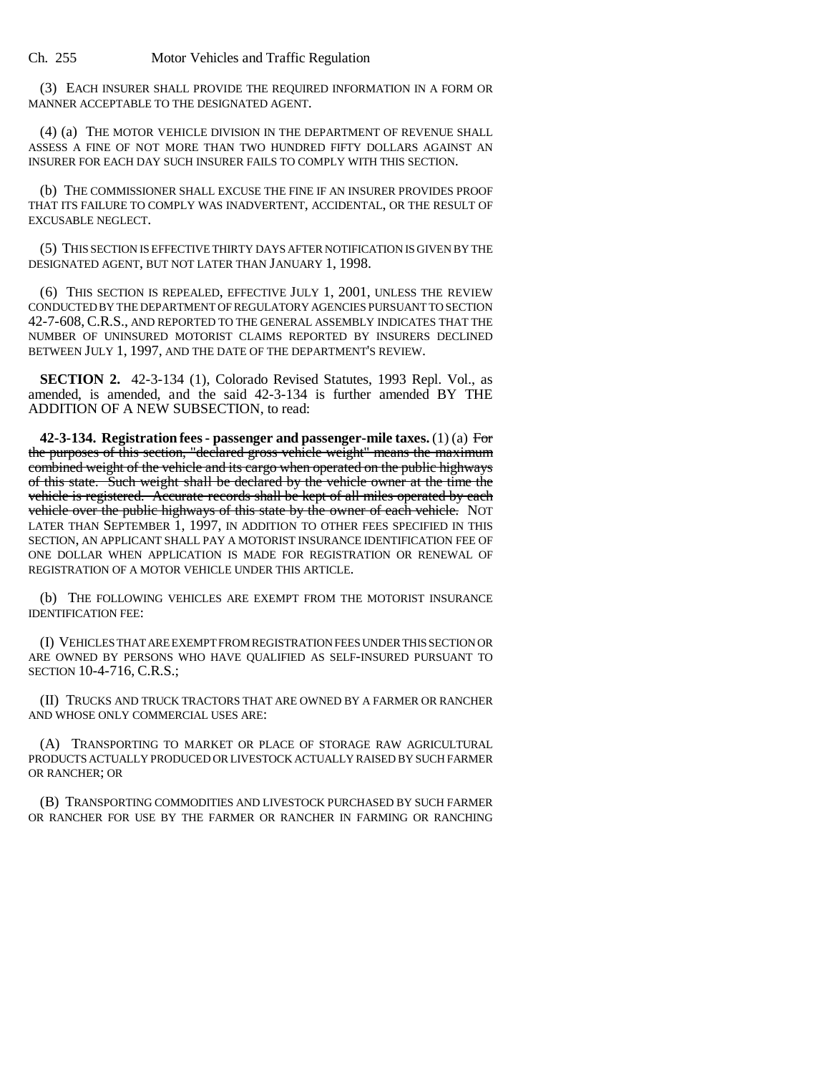(3) EACH INSURER SHALL PROVIDE THE REQUIRED INFORMATION IN A FORM OR MANNER ACCEPTABLE TO THE DESIGNATED AGENT.

(4) (a) THE MOTOR VEHICLE DIVISION IN THE DEPARTMENT OF REVENUE SHALL ASSESS A FINE OF NOT MORE THAN TWO HUNDRED FIFTY DOLLARS AGAINST AN INSURER FOR EACH DAY SUCH INSURER FAILS TO COMPLY WITH THIS SECTION.

(b) THE COMMISSIONER SHALL EXCUSE THE FINE IF AN INSURER PROVIDES PROOF THAT ITS FAILURE TO COMPLY WAS INADVERTENT, ACCIDENTAL, OR THE RESULT OF EXCUSABLE NEGLECT.

(5) THIS SECTION IS EFFECTIVE THIRTY DAYS AFTER NOTIFICATION IS GIVEN BY THE DESIGNATED AGENT, BUT NOT LATER THAN JANUARY 1, 1998.

(6) THIS SECTION IS REPEALED, EFFECTIVE JULY 1, 2001, UNLESS THE REVIEW CONDUCTED BY THE DEPARTMENT OF REGULATORY AGENCIES PURSUANT TO SECTION 42-7-608, C.R.S., AND REPORTED TO THE GENERAL ASSEMBLY INDICATES THAT THE NUMBER OF UNINSURED MOTORIST CLAIMS REPORTED BY INSURERS DECLINED BETWEEN JULY 1, 1997, AND THE DATE OF THE DEPARTMENT'S REVIEW.

**SECTION 2.** 42-3-134 (1), Colorado Revised Statutes, 1993 Repl. Vol., as amended, is amended, and the said 42-3-134 is further amended BY THE ADDITION OF A NEW SUBSECTION, to read:

**42-3-134. Registration fees - passenger and passenger-mile taxes.** (1) (a) For the purposes of this section, "declared gross vehicle weight" means the maximum combined weight of the vehicle and its cargo when operated on the public highways of this state. Such weight shall be declared by the vehicle owner at the time the vehicle is registered. Accurate records shall be kept of all miles operated by each vehicle over the public highways of this state by the owner of each vehicle. NOT LATER THAN SEPTEMBER 1, 1997, IN ADDITION TO OTHER FEES SPECIFIED IN THIS SECTION, AN APPLICANT SHALL PAY A MOTORIST INSURANCE IDENTIFICATION FEE OF ONE DOLLAR WHEN APPLICATION IS MADE FOR REGISTRATION OR RENEWAL OF REGISTRATION OF A MOTOR VEHICLE UNDER THIS ARTICLE.

(b) THE FOLLOWING VEHICLES ARE EXEMPT FROM THE MOTORIST INSURANCE IDENTIFICATION FEE:

(I) VEHICLES THAT ARE EXEMPT FROM REGISTRATION FEES UNDER THIS SECTION OR ARE OWNED BY PERSONS WHO HAVE QUALIFIED AS SELF-INSURED PURSUANT TO SECTION 10-4-716, C.R.S.;

(II) TRUCKS AND TRUCK TRACTORS THAT ARE OWNED BY A FARMER OR RANCHER AND WHOSE ONLY COMMERCIAL USES ARE:

(A) TRANSPORTING TO MARKET OR PLACE OF STORAGE RAW AGRICULTURAL PRODUCTS ACTUALLY PRODUCED OR LIVESTOCK ACTUALLY RAISED BY SUCH FARMER OR RANCHER; OR

(B) TRANSPORTING COMMODITIES AND LIVESTOCK PURCHASED BY SUCH FARMER OR RANCHER FOR USE BY THE FARMER OR RANCHER IN FARMING OR RANCHING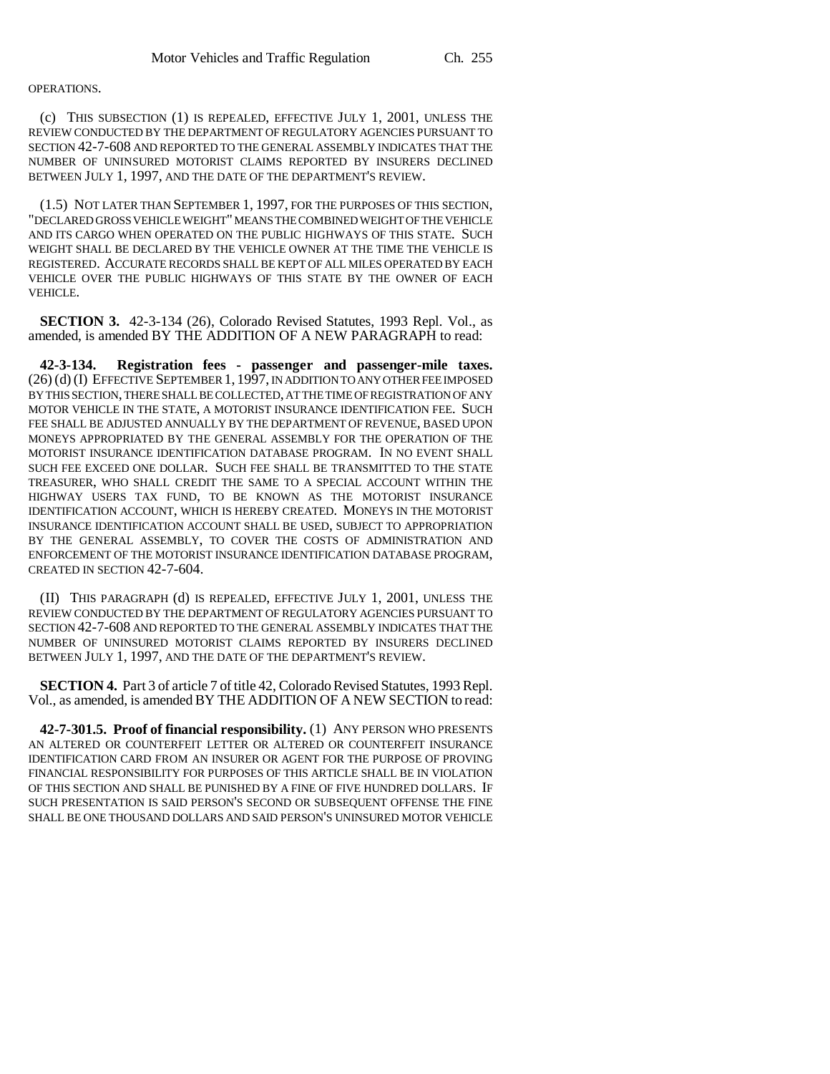## OPERATIONS.

(c) THIS SUBSECTION (1) IS REPEALED, EFFECTIVE JULY 1, 2001, UNLESS THE REVIEW CONDUCTED BY THE DEPARTMENT OF REGULATORY AGENCIES PURSUANT TO SECTION 42-7-608 AND REPORTED TO THE GENERAL ASSEMBLY INDICATES THAT THE NUMBER OF UNINSURED MOTORIST CLAIMS REPORTED BY INSURERS DECLINED BETWEEN JULY 1, 1997, AND THE DATE OF THE DEPARTMENT'S REVIEW.

(1.5) NOT LATER THAN SEPTEMBER 1, 1997, FOR THE PURPOSES OF THIS SECTION, "DECLARED GROSS VEHICLE WEIGHT" MEANS THE COMBINED WEIGHT OF THE VEHICLE AND ITS CARGO WHEN OPERATED ON THE PUBLIC HIGHWAYS OF THIS STATE. SUCH WEIGHT SHALL BE DECLARED BY THE VEHICLE OWNER AT THE TIME THE VEHICLE IS REGISTERED. ACCURATE RECORDS SHALL BE KEPT OF ALL MILES OPERATED BY EACH VEHICLE OVER THE PUBLIC HIGHWAYS OF THIS STATE BY THE OWNER OF EACH VEHICLE.

**SECTION 3.** 42-3-134 (26), Colorado Revised Statutes, 1993 Repl. Vol., as amended, is amended BY THE ADDITION OF A NEW PARAGRAPH to read:

**42-3-134. Registration fees - passenger and passenger-mile taxes.** (26) (d) (I) EFFECTIVE SEPTEMBER 1, 1997, IN ADDITION TO ANY OTHER FEE IMPOSED BY THIS SECTION, THERE SHALL BE COLLECTED, AT THE TIME OF REGISTRATION OF ANY MOTOR VEHICLE IN THE STATE, A MOTORIST INSURANCE IDENTIFICATION FEE. SUCH FEE SHALL BE ADJUSTED ANNUALLY BY THE DEPARTMENT OF REVENUE, BASED UPON MONEYS APPROPRIATED BY THE GENERAL ASSEMBLY FOR THE OPERATION OF THE MOTORIST INSURANCE IDENTIFICATION DATABASE PROGRAM. IN NO EVENT SHALL SUCH FEE EXCEED ONE DOLLAR. SUCH FEE SHALL BE TRANSMITTED TO THE STATE TREASURER, WHO SHALL CREDIT THE SAME TO A SPECIAL ACCOUNT WITHIN THE HIGHWAY USERS TAX FUND, TO BE KNOWN AS THE MOTORIST INSURANCE IDENTIFICATION ACCOUNT, WHICH IS HEREBY CREATED. MONEYS IN THE MOTORIST INSURANCE IDENTIFICATION ACCOUNT SHALL BE USED, SUBJECT TO APPROPRIATION BY THE GENERAL ASSEMBLY, TO COVER THE COSTS OF ADMINISTRATION AND ENFORCEMENT OF THE MOTORIST INSURANCE IDENTIFICATION DATABASE PROGRAM, CREATED IN SECTION 42-7-604.

(II) THIS PARAGRAPH (d) IS REPEALED, EFFECTIVE JULY 1, 2001, UNLESS THE REVIEW CONDUCTED BY THE DEPARTMENT OF REGULATORY AGENCIES PURSUANT TO SECTION 42-7-608 AND REPORTED TO THE GENERAL ASSEMBLY INDICATES THAT THE NUMBER OF UNINSURED MOTORIST CLAIMS REPORTED BY INSURERS DECLINED BETWEEN JULY 1, 1997, AND THE DATE OF THE DEPARTMENT'S REVIEW.

**SECTION 4.** Part 3 of article 7 of title 42, Colorado Revised Statutes, 1993 Repl. Vol., as amended, is amended BY THE ADDITION OF A NEW SECTION to read:

**42-7-301.5. Proof of financial responsibility.** (1) ANY PERSON WHO PRESENTS AN ALTERED OR COUNTERFEIT LETTER OR ALTERED OR COUNTERFEIT INSURANCE IDENTIFICATION CARD FROM AN INSURER OR AGENT FOR THE PURPOSE OF PROVING FINANCIAL RESPONSIBILITY FOR PURPOSES OF THIS ARTICLE SHALL BE IN VIOLATION OF THIS SECTION AND SHALL BE PUNISHED BY A FINE OF FIVE HUNDRED DOLLARS. IF SUCH PRESENTATION IS SAID PERSON'S SECOND OR SUBSEQUENT OFFENSE THE FINE SHALL BE ONE THOUSAND DOLLARS AND SAID PERSON'S UNINSURED MOTOR VEHICLE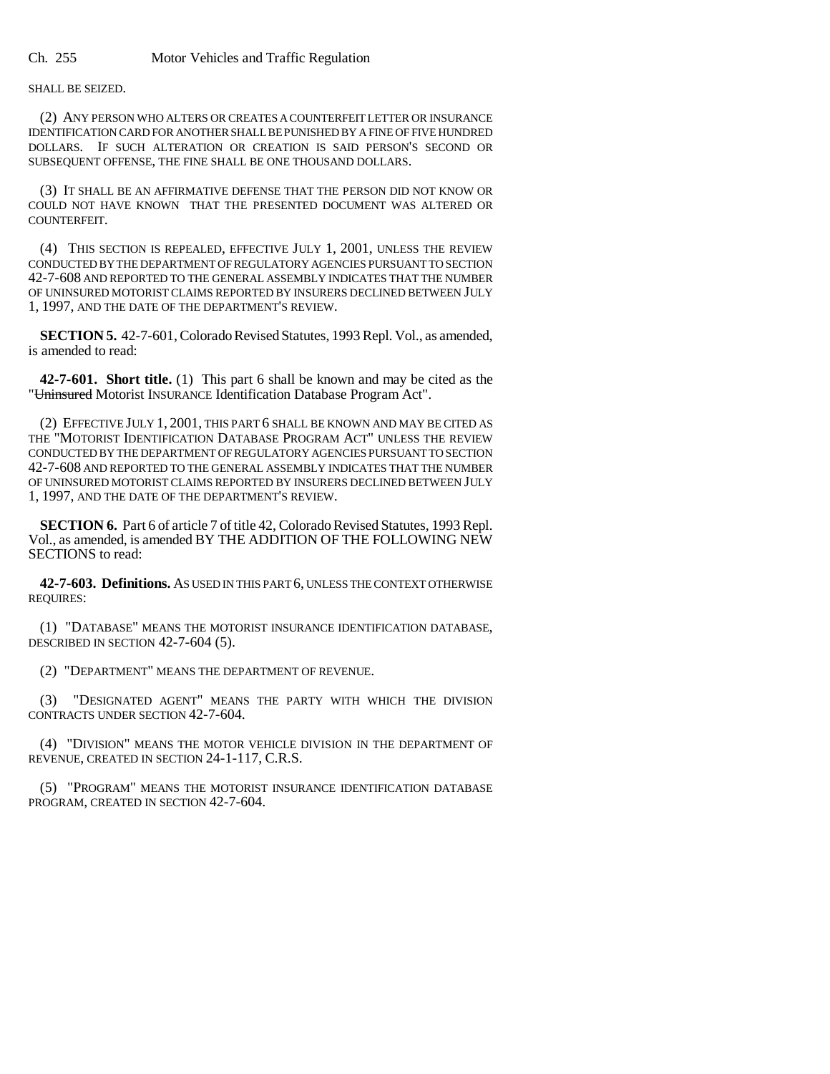SHALL BE SEIZED.

(2) ANY PERSON WHO ALTERS OR CREATES A COUNTERFEIT LETTER OR INSURANCE IDENTIFICATION CARD FOR ANOTHER SHALL BE PUNISHED BY A FINE OF FIVE HUNDRED DOLLARS. IF SUCH ALTERATION OR CREATION IS SAID PERSON'S SECOND OR SUBSEQUENT OFFENSE, THE FINE SHALL BE ONE THOUSAND DOLLARS.

(3) IT SHALL BE AN AFFIRMATIVE DEFENSE THAT THE PERSON DID NOT KNOW OR COULD NOT HAVE KNOWN THAT THE PRESENTED DOCUMENT WAS ALTERED OR COUNTERFEIT.

(4) THIS SECTION IS REPEALED, EFFECTIVE JULY 1, 2001, UNLESS THE REVIEW CONDUCTED BY THE DEPARTMENT OF REGULATORY AGENCIES PURSUANT TO SECTION 42-7-608 AND REPORTED TO THE GENERAL ASSEMBLY INDICATES THAT THE NUMBER OF UNINSURED MOTORIST CLAIMS REPORTED BY INSURERS DECLINED BETWEEN JULY 1, 1997, AND THE DATE OF THE DEPARTMENT'S REVIEW.

**SECTION 5.** 42-7-601, Colorado Revised Statutes, 1993 Repl. Vol., as amended, is amended to read:

**42-7-601. Short title.** (1) This part 6 shall be known and may be cited as the "Uninsured Motorist INSURANCE Identification Database Program Act".

(2) EFFECTIVE JULY 1, 2001, THIS PART 6 SHALL BE KNOWN AND MAY BE CITED AS THE "MOTORIST IDENTIFICATION DATABASE PROGRAM ACT" UNLESS THE REVIEW CONDUCTED BY THE DEPARTMENT OF REGULATORY AGENCIES PURSUANT TO SECTION 42-7-608 AND REPORTED TO THE GENERAL ASSEMBLY INDICATES THAT THE NUMBER OF UNINSURED MOTORIST CLAIMS REPORTED BY INSURERS DECLINED BETWEEN JULY 1, 1997, AND THE DATE OF THE DEPARTMENT'S REVIEW.

**SECTION 6.** Part 6 of article 7 of title 42, Colorado Revised Statutes, 1993 Repl. Vol., as amended, is amended BY THE ADDITION OF THE FOLLOWING NEW SECTIONS to read:

**42-7-603. Definitions.** AS USED IN THIS PART 6, UNLESS THE CONTEXT OTHERWISE REQUIRES:

(1) "DATABASE" MEANS THE MOTORIST INSURANCE IDENTIFICATION DATABASE, DESCRIBED IN SECTION 42-7-604 (5).

(2) "DEPARTMENT" MEANS THE DEPARTMENT OF REVENUE.

(3) "DESIGNATED AGENT" MEANS THE PARTY WITH WHICH THE DIVISION CONTRACTS UNDER SECTION 42-7-604.

(4) "DIVISION" MEANS THE MOTOR VEHICLE DIVISION IN THE DEPARTMENT OF REVENUE, CREATED IN SECTION 24-1-117, C.R.S.

(5) "PROGRAM" MEANS THE MOTORIST INSURANCE IDENTIFICATION DATABASE PROGRAM, CREATED IN SECTION 42-7-604.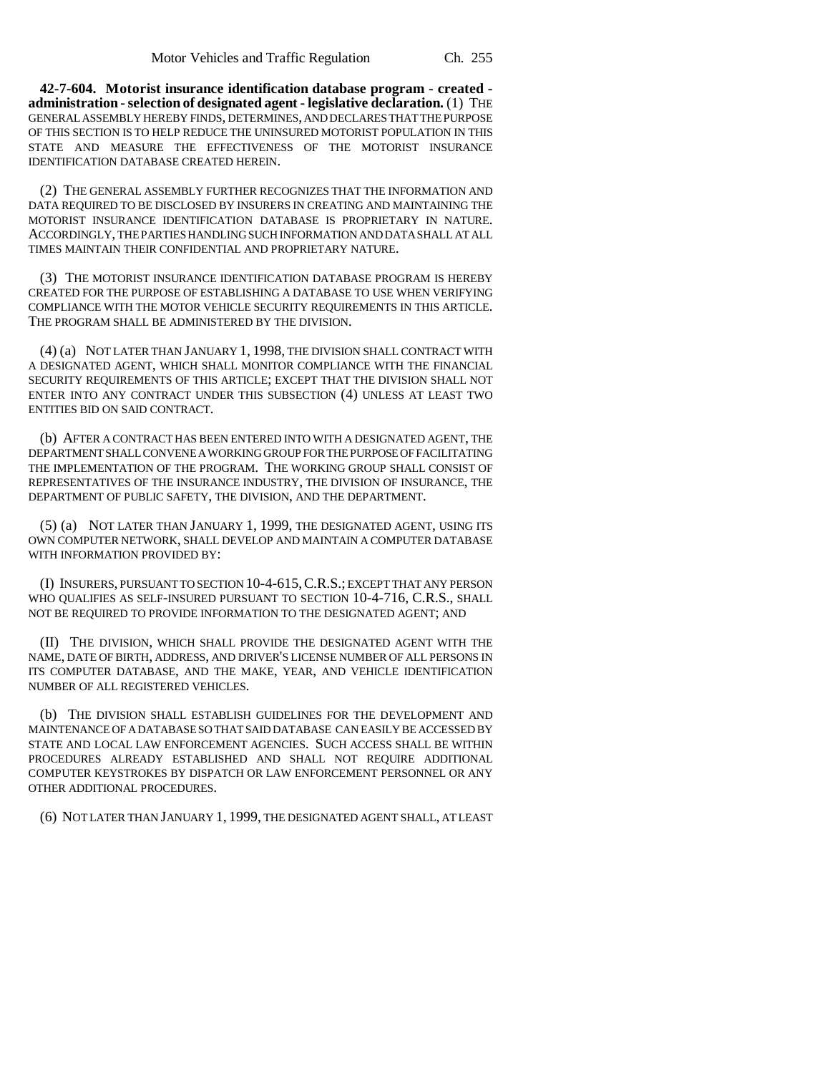**42-7-604. Motorist insurance identification database program - created administration - selection of designated agent - legislative declaration.** (1) THE GENERAL ASSEMBLY HEREBY FINDS, DETERMINES, AND DECLARES THAT THE PURPOSE OF THIS SECTION IS TO HELP REDUCE THE UNINSURED MOTORIST POPULATION IN THIS STATE AND MEASURE THE EFFECTIVENESS OF THE MOTORIST INSURANCE IDENTIFICATION DATABASE CREATED HEREIN.

(2) THE GENERAL ASSEMBLY FURTHER RECOGNIZES THAT THE INFORMATION AND DATA REQUIRED TO BE DISCLOSED BY INSURERS IN CREATING AND MAINTAINING THE MOTORIST INSURANCE IDENTIFICATION DATABASE IS PROPRIETARY IN NATURE. ACCORDINGLY, THE PARTIES HANDLING SUCH INFORMATION AND DATA SHALL AT ALL TIMES MAINTAIN THEIR CONFIDENTIAL AND PROPRIETARY NATURE.

(3) THE MOTORIST INSURANCE IDENTIFICATION DATABASE PROGRAM IS HEREBY CREATED FOR THE PURPOSE OF ESTABLISHING A DATABASE TO USE WHEN VERIFYING COMPLIANCE WITH THE MOTOR VEHICLE SECURITY REQUIREMENTS IN THIS ARTICLE. THE PROGRAM SHALL BE ADMINISTERED BY THE DIVISION.

(4) (a) NOT LATER THAN JANUARY 1, 1998, THE DIVISION SHALL CONTRACT WITH A DESIGNATED AGENT, WHICH SHALL MONITOR COMPLIANCE WITH THE FINANCIAL SECURITY REQUIREMENTS OF THIS ARTICLE; EXCEPT THAT THE DIVISION SHALL NOT ENTER INTO ANY CONTRACT UNDER THIS SUBSECTION (4) UNLESS AT LEAST TWO ENTITIES BID ON SAID CONTRACT.

(b) AFTER A CONTRACT HAS BEEN ENTERED INTO WITH A DESIGNATED AGENT, THE DEPARTMENT SHALL CONVENE A WORKING GROUP FOR THE PURPOSE OF FACILITATING THE IMPLEMENTATION OF THE PROGRAM. THE WORKING GROUP SHALL CONSIST OF REPRESENTATIVES OF THE INSURANCE INDUSTRY, THE DIVISION OF INSURANCE, THE DEPARTMENT OF PUBLIC SAFETY, THE DIVISION, AND THE DEPARTMENT.

(5) (a) NOT LATER THAN JANUARY 1, 1999, THE DESIGNATED AGENT, USING ITS OWN COMPUTER NETWORK, SHALL DEVELOP AND MAINTAIN A COMPUTER DATABASE WITH INFORMATION PROVIDED BY:

(I) INSURERS, PURSUANT TO SECTION 10-4-615,C.R.S.; EXCEPT THAT ANY PERSON WHO QUALIFIES AS SELF-INSURED PURSUANT TO SECTION 10-4-716, C.R.S., SHALL NOT BE REQUIRED TO PROVIDE INFORMATION TO THE DESIGNATED AGENT; AND

(II) THE DIVISION, WHICH SHALL PROVIDE THE DESIGNATED AGENT WITH THE NAME, DATE OF BIRTH, ADDRESS, AND DRIVER'S LICENSE NUMBER OF ALL PERSONS IN ITS COMPUTER DATABASE, AND THE MAKE, YEAR, AND VEHICLE IDENTIFICATION NUMBER OF ALL REGISTERED VEHICLES.

(b) THE DIVISION SHALL ESTABLISH GUIDELINES FOR THE DEVELOPMENT AND MAINTENANCE OF A DATABASE SO THAT SAID DATABASE CAN EASILY BE ACCESSED BY STATE AND LOCAL LAW ENFORCEMENT AGENCIES. SUCH ACCESS SHALL BE WITHIN PROCEDURES ALREADY ESTABLISHED AND SHALL NOT REQUIRE ADDITIONAL COMPUTER KEYSTROKES BY DISPATCH OR LAW ENFORCEMENT PERSONNEL OR ANY OTHER ADDITIONAL PROCEDURES.

(6) NOT LATER THAN JANUARY 1, 1999, THE DESIGNATED AGENT SHALL, AT LEAST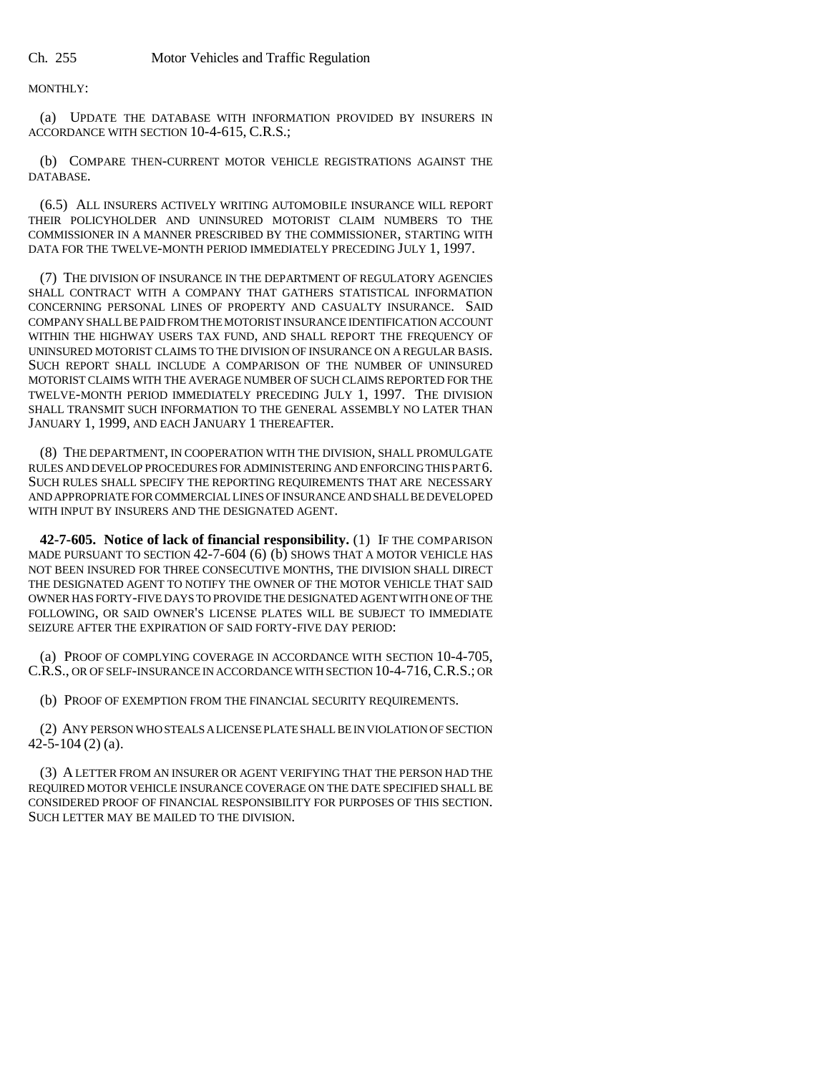MONTHLY:

(a) UPDATE THE DATABASE WITH INFORMATION PROVIDED BY INSURERS IN ACCORDANCE WITH SECTION 10-4-615, C.R.S.;

(b) COMPARE THEN-CURRENT MOTOR VEHICLE REGISTRATIONS AGAINST THE DATABASE.

(6.5) ALL INSURERS ACTIVELY WRITING AUTOMOBILE INSURANCE WILL REPORT THEIR POLICYHOLDER AND UNINSURED MOTORIST CLAIM NUMBERS TO THE COMMISSIONER IN A MANNER PRESCRIBED BY THE COMMISSIONER, STARTING WITH DATA FOR THE TWELVE-MONTH PERIOD IMMEDIATELY PRECEDING JULY 1, 1997.

(7) THE DIVISION OF INSURANCE IN THE DEPARTMENT OF REGULATORY AGENCIES SHALL CONTRACT WITH A COMPANY THAT GATHERS STATISTICAL INFORMATION CONCERNING PERSONAL LINES OF PROPERTY AND CASUALTY INSURANCE. SAID COMPANY SHALL BE PAID FROM THE MOTORIST INSURANCE IDENTIFICATION ACCOUNT WITHIN THE HIGHWAY USERS TAX FUND, AND SHALL REPORT THE FREQUENCY OF UNINSURED MOTORIST CLAIMS TO THE DIVISION OF INSURANCE ON A REGULAR BASIS. SUCH REPORT SHALL INCLUDE A COMPARISON OF THE NUMBER OF UNINSURED MOTORIST CLAIMS WITH THE AVERAGE NUMBER OF SUCH CLAIMS REPORTED FOR THE TWELVE-MONTH PERIOD IMMEDIATELY PRECEDING JULY 1, 1997. THE DIVISION SHALL TRANSMIT SUCH INFORMATION TO THE GENERAL ASSEMBLY NO LATER THAN JANUARY 1, 1999, AND EACH JANUARY 1 THEREAFTER.

(8) THE DEPARTMENT, IN COOPERATION WITH THE DIVISION, SHALL PROMULGATE RULES AND DEVELOP PROCEDURES FOR ADMINISTERING AND ENFORCING THIS PART 6. SUCH RULES SHALL SPECIFY THE REPORTING REQUIREMENTS THAT ARE NECESSARY AND APPROPRIATE FOR COMMERCIAL LINES OF INSURANCE AND SHALL BE DEVELOPED WITH INPUT BY INSURERS AND THE DESIGNATED AGENT.

**42-7-605. Notice of lack of financial responsibility.** (1) IF THE COMPARISON MADE PURSUANT TO SECTION 42-7-604 (6) (b) SHOWS THAT A MOTOR VEHICLE HAS NOT BEEN INSURED FOR THREE CONSECUTIVE MONTHS, THE DIVISION SHALL DIRECT THE DESIGNATED AGENT TO NOTIFY THE OWNER OF THE MOTOR VEHICLE THAT SAID OWNER HAS FORTY-FIVE DAYS TO PROVIDE THE DESIGNATED AGENT WITH ONE OF THE FOLLOWING, OR SAID OWNER'S LICENSE PLATES WILL BE SUBJECT TO IMMEDIATE SEIZURE AFTER THE EXPIRATION OF SAID FORTY-FIVE DAY PERIOD:

(a) PROOF OF COMPLYING COVERAGE IN ACCORDANCE WITH SECTION 10-4-705, C.R.S., OR OF SELF-INSURANCE IN ACCORDANCE WITH SECTION 10-4-716,C.R.S.; OR

(b) PROOF OF EXEMPTION FROM THE FINANCIAL SECURITY REQUIREMENTS.

(2) ANY PERSON WHO STEALS A LICENSE PLATE SHALL BE IN VIOLATION OF SECTION 42-5-104 (2) (a).

(3) A LETTER FROM AN INSURER OR AGENT VERIFYING THAT THE PERSON HAD THE REQUIRED MOTOR VEHICLE INSURANCE COVERAGE ON THE DATE SPECIFIED SHALL BE CONSIDERED PROOF OF FINANCIAL RESPONSIBILITY FOR PURPOSES OF THIS SECTION. SUCH LETTER MAY BE MAILED TO THE DIVISION.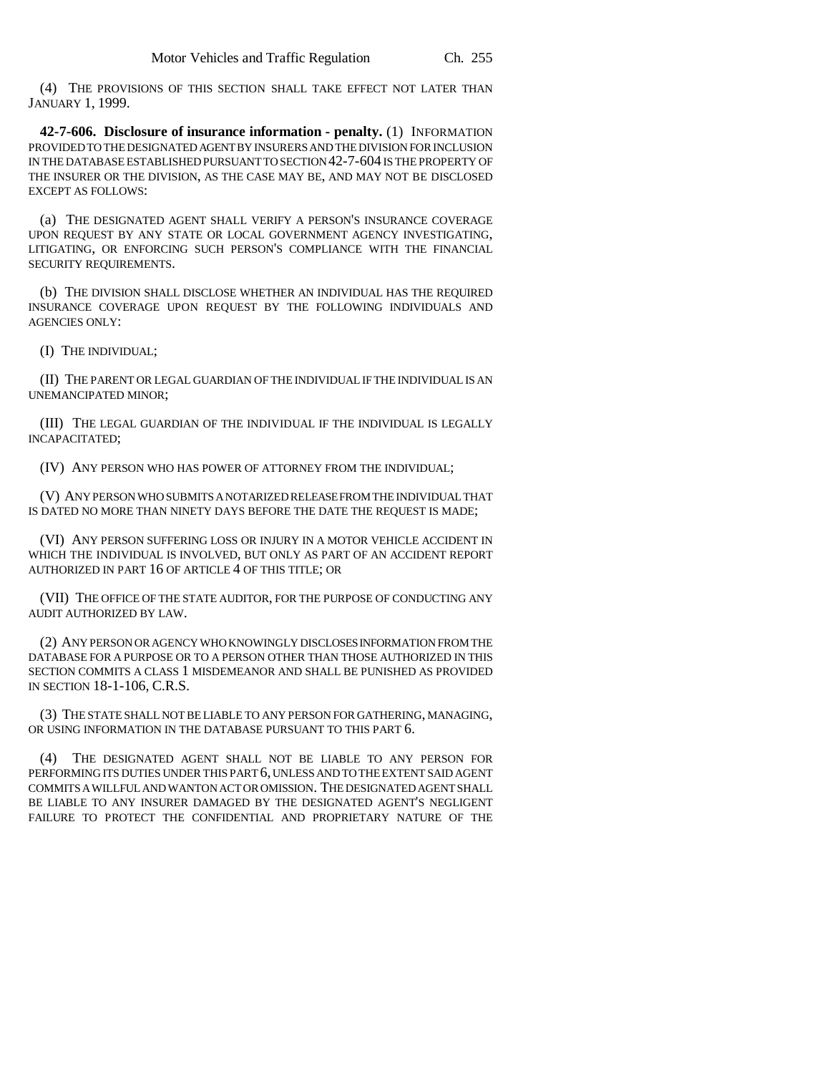(4) THE PROVISIONS OF THIS SECTION SHALL TAKE EFFECT NOT LATER THAN JANUARY 1, 1999.

**42-7-606. Disclosure of insurance information - penalty.** (1) INFORMATION PROVIDED TO THE DESIGNATED AGENT BY INSURERS AND THE DIVISION FOR INCLUSION IN THE DATABASE ESTABLISHED PURSUANT TO SECTION 42-7-604 IS THE PROPERTY OF THE INSURER OR THE DIVISION, AS THE CASE MAY BE, AND MAY NOT BE DISCLOSED EXCEPT AS FOLLOWS:

(a) THE DESIGNATED AGENT SHALL VERIFY A PERSON'S INSURANCE COVERAGE UPON REQUEST BY ANY STATE OR LOCAL GOVERNMENT AGENCY INVESTIGATING, LITIGATING, OR ENFORCING SUCH PERSON'S COMPLIANCE WITH THE FINANCIAL SECURITY REQUIREMENTS.

(b) THE DIVISION SHALL DISCLOSE WHETHER AN INDIVIDUAL HAS THE REQUIRED INSURANCE COVERAGE UPON REQUEST BY THE FOLLOWING INDIVIDUALS AND AGENCIES ONLY:

(I) THE INDIVIDUAL;

(II) THE PARENT OR LEGAL GUARDIAN OF THE INDIVIDUAL IF THE INDIVIDUAL IS AN UNEMANCIPATED MINOR;

(III) THE LEGAL GUARDIAN OF THE INDIVIDUAL IF THE INDIVIDUAL IS LEGALLY INCAPACITATED;

(IV) ANY PERSON WHO HAS POWER OF ATTORNEY FROM THE INDIVIDUAL;

(V) ANY PERSON WHO SUBMITS A NOTARIZED RELEASE FROM THE INDIVIDUAL THAT IS DATED NO MORE THAN NINETY DAYS BEFORE THE DATE THE REQUEST IS MADE;

(VI) ANY PERSON SUFFERING LOSS OR INJURY IN A MOTOR VEHICLE ACCIDENT IN WHICH THE INDIVIDUAL IS INVOLVED, BUT ONLY AS PART OF AN ACCIDENT REPORT AUTHORIZED IN PART 16 OF ARTICLE 4 OF THIS TITLE; OR

(VII) THE OFFICE OF THE STATE AUDITOR, FOR THE PURPOSE OF CONDUCTING ANY AUDIT AUTHORIZED BY LAW.

(2) ANY PERSON OR AGENCY WHO KNOWINGLY DISCLOSES INFORMATION FROM THE DATABASE FOR A PURPOSE OR TO A PERSON OTHER THAN THOSE AUTHORIZED IN THIS SECTION COMMITS A CLASS 1 MISDEMEANOR AND SHALL BE PUNISHED AS PROVIDED IN SECTION 18-1-106, C.R.S.

(3) THE STATE SHALL NOT BE LIABLE TO ANY PERSON FOR GATHERING, MANAGING, OR USING INFORMATION IN THE DATABASE PURSUANT TO THIS PART 6.

(4) THE DESIGNATED AGENT SHALL NOT BE LIABLE TO ANY PERSON FOR PERFORMING ITS DUTIES UNDER THIS PART 6, UNLESS AND TO THE EXTENT SAID AGENT COMMITS A WILLFUL AND WANTON ACT OR OMISSION. THE DESIGNATED AGENT SHALL BE LIABLE TO ANY INSURER DAMAGED BY THE DESIGNATED AGENT'S NEGLIGENT FAILURE TO PROTECT THE CONFIDENTIAL AND PROPRIETARY NATURE OF THE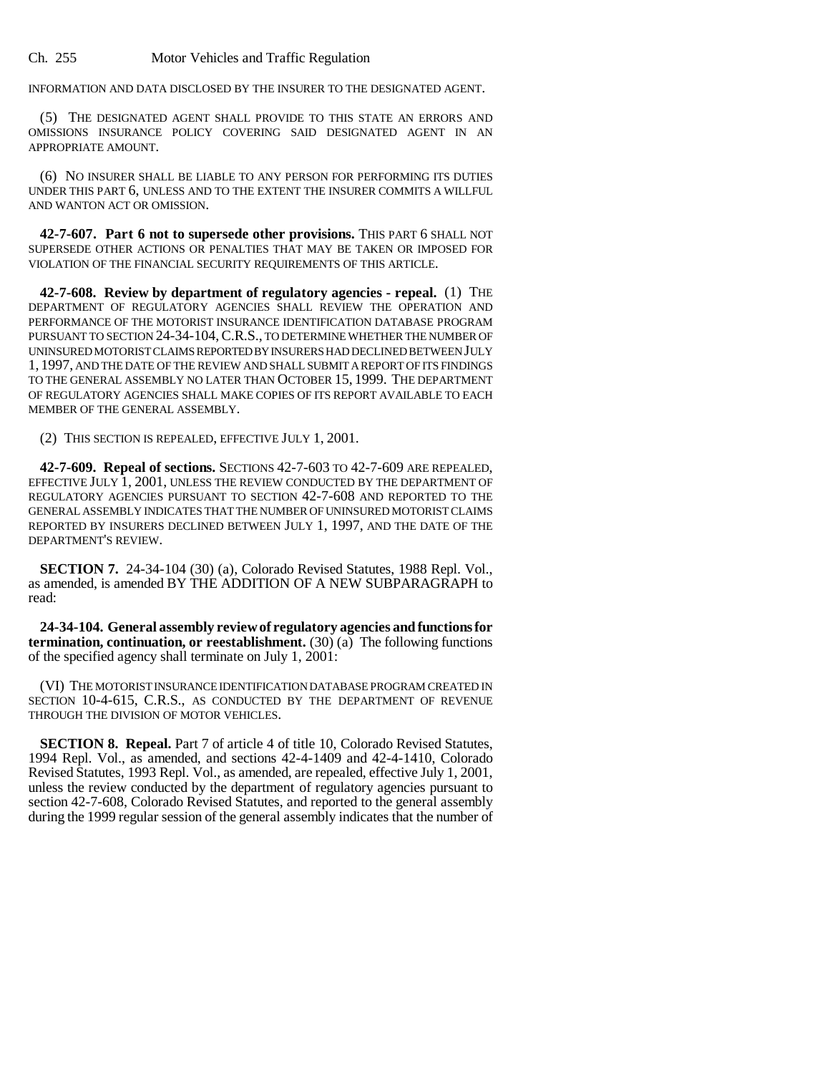INFORMATION AND DATA DISCLOSED BY THE INSURER TO THE DESIGNATED AGENT.

(5) THE DESIGNATED AGENT SHALL PROVIDE TO THIS STATE AN ERRORS AND OMISSIONS INSURANCE POLICY COVERING SAID DESIGNATED AGENT IN AN APPROPRIATE AMOUNT.

(6) NO INSURER SHALL BE LIABLE TO ANY PERSON FOR PERFORMING ITS DUTIES UNDER THIS PART 6, UNLESS AND TO THE EXTENT THE INSURER COMMITS A WILLFUL AND WANTON ACT OR OMISSION.

**42-7-607. Part 6 not to supersede other provisions.** THIS PART 6 SHALL NOT SUPERSEDE OTHER ACTIONS OR PENALTIES THAT MAY BE TAKEN OR IMPOSED FOR VIOLATION OF THE FINANCIAL SECURITY REQUIREMENTS OF THIS ARTICLE.

**42-7-608. Review by department of regulatory agencies - repeal.** (1) THE DEPARTMENT OF REGULATORY AGENCIES SHALL REVIEW THE OPERATION AND PERFORMANCE OF THE MOTORIST INSURANCE IDENTIFICATION DATABASE PROGRAM PURSUANT TO SECTION 24-34-104,C.R.S., TO DETERMINE WHETHER THE NUMBER OF UNINSURED MOTORIST CLAIMS REPORTED BY INSURERS HAD DECLINED BETWEEN JULY 1, 1997, AND THE DATE OF THE REVIEW AND SHALL SUBMIT A REPORT OF ITS FINDINGS TO THE GENERAL ASSEMBLY NO LATER THAN OCTOBER 15, 1999. THE DEPARTMENT OF REGULATORY AGENCIES SHALL MAKE COPIES OF ITS REPORT AVAILABLE TO EACH MEMBER OF THE GENERAL ASSEMBLY.

(2) THIS SECTION IS REPEALED, EFFECTIVE JULY 1, 2001.

**42-7-609. Repeal of sections.** SECTIONS 42-7-603 TO 42-7-609 ARE REPEALED, EFFECTIVE JULY 1, 2001, UNLESS THE REVIEW CONDUCTED BY THE DEPARTMENT OF REGULATORY AGENCIES PURSUANT TO SECTION 42-7-608 AND REPORTED TO THE GENERAL ASSEMBLY INDICATES THAT THE NUMBER OF UNINSURED MOTORIST CLAIMS REPORTED BY INSURERS DECLINED BETWEEN JULY 1, 1997, AND THE DATE OF THE DEPARTMENT'S REVIEW.

**SECTION 7.** 24-34-104 (30) (a), Colorado Revised Statutes, 1988 Repl. Vol., as amended, is amended BY THE ADDITION OF A NEW SUBPARAGRAPH to read:

**24-34-104. General assembly review of regulatory agencies and functions for termination, continuation, or reestablishment.**  $(30)(a)$  The following functions of the specified agency shall terminate on July 1, 2001:

(VI) THE MOTORIST INSURANCE IDENTIFICATION DATABASE PROGRAM CREATED IN SECTION 10-4-615, C.R.S., AS CONDUCTED BY THE DEPARTMENT OF REVENUE THROUGH THE DIVISION OF MOTOR VEHICLES.

**SECTION 8. Repeal.** Part 7 of article 4 of title 10, Colorado Revised Statutes, 1994 Repl. Vol., as amended, and sections 42-4-1409 and 42-4-1410, Colorado Revised Statutes, 1993 Repl. Vol., as amended, are repealed, effective July 1, 2001, unless the review conducted by the department of regulatory agencies pursuant to section 42-7-608, Colorado Revised Statutes, and reported to the general assembly during the 1999 regular session of the general assembly indicates that the number of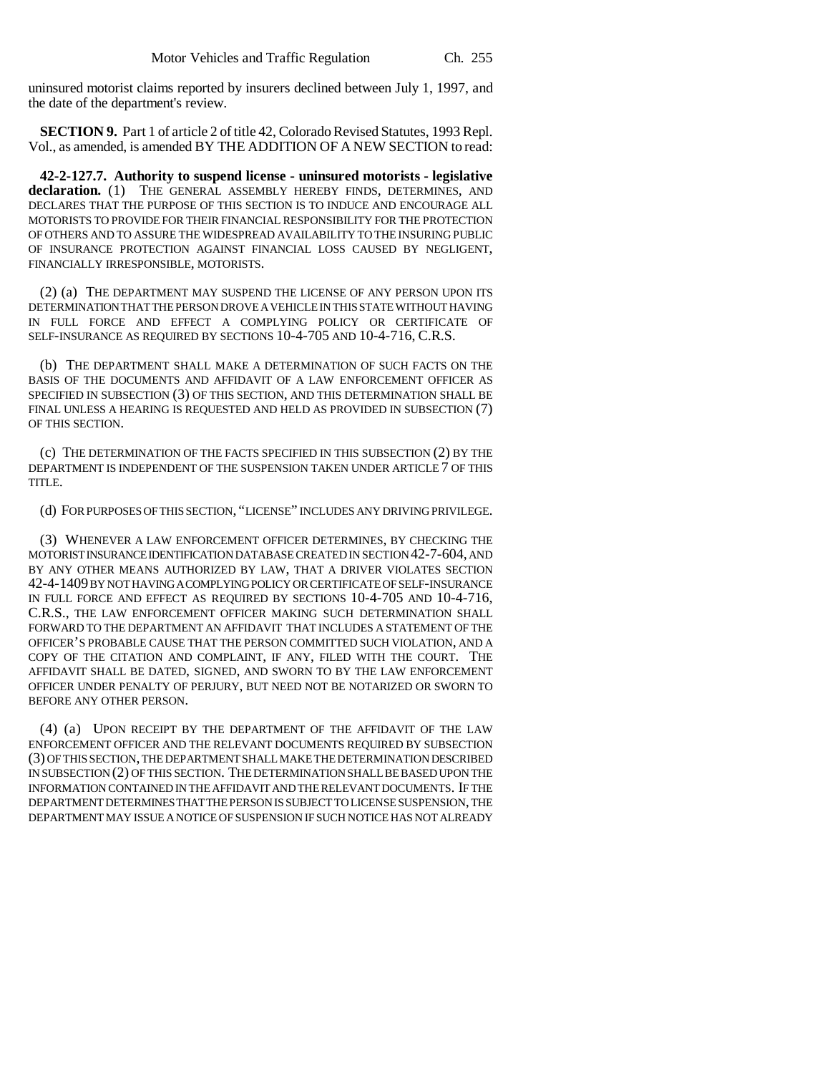uninsured motorist claims reported by insurers declined between July 1, 1997, and the date of the department's review.

**SECTION 9.** Part 1 of article 2 of title 42, Colorado Revised Statutes, 1993 Repl. Vol., as amended, is amended BY THE ADDITION OF A NEW SECTION to read:

**42-2-127.7. Authority to suspend license - uninsured motorists - legislative declaration.** (1) THE GENERAL ASSEMBLY HEREBY FINDS, DETERMINES, AND DECLARES THAT THE PURPOSE OF THIS SECTION IS TO INDUCE AND ENCOURAGE ALL MOTORISTS TO PROVIDE FOR THEIR FINANCIAL RESPONSIBILITY FOR THE PROTECTION OF OTHERS AND TO ASSURE THE WIDESPREAD AVAILABILITY TO THE INSURING PUBLIC OF INSURANCE PROTECTION AGAINST FINANCIAL LOSS CAUSED BY NEGLIGENT, FINANCIALLY IRRESPONSIBLE, MOTORISTS.

(2) (a) THE DEPARTMENT MAY SUSPEND THE LICENSE OF ANY PERSON UPON ITS DETERMINATION THAT THE PERSON DROVE A VEHICLE IN THIS STATE WITHOUT HAVING IN FULL FORCE AND EFFECT A COMPLYING POLICY OR CERTIFICATE OF SELF-INSURANCE AS REQUIRED BY SECTIONS 10-4-705 AND 10-4-716, C.R.S.

(b) THE DEPARTMENT SHALL MAKE A DETERMINATION OF SUCH FACTS ON THE BASIS OF THE DOCUMENTS AND AFFIDAVIT OF A LAW ENFORCEMENT OFFICER AS SPECIFIED IN SUBSECTION (3) OF THIS SECTION, AND THIS DETERMINATION SHALL BE FINAL UNLESS A HEARING IS REQUESTED AND HELD AS PROVIDED IN SUBSECTION (7) OF THIS SECTION.

(c) THE DETERMINATION OF THE FACTS SPECIFIED IN THIS SUBSECTION (2) BY THE DEPARTMENT IS INDEPENDENT OF THE SUSPENSION TAKEN UNDER ARTICLE 7 OF THIS TITLE.

(d) FOR PURPOSES OF THIS SECTION, "LICENSE" INCLUDES ANY DRIVING PRIVILEGE.

(3) WHENEVER A LAW ENFORCEMENT OFFICER DETERMINES, BY CHECKING THE MOTORIST INSURANCE IDENTIFICATION DATABASE CREATED IN SECTION 42-7-604, AND BY ANY OTHER MEANS AUTHORIZED BY LAW, THAT A DRIVER VIOLATES SECTION 42-4-1409 BY NOT HAVING A COMPLYING POLICY OR CERTIFICATE OF SELF-INSURANCE IN FULL FORCE AND EFFECT AS REQUIRED BY SECTIONS 10-4-705 AND 10-4-716, C.R.S., THE LAW ENFORCEMENT OFFICER MAKING SUCH DETERMINATION SHALL FORWARD TO THE DEPARTMENT AN AFFIDAVIT THAT INCLUDES A STATEMENT OF THE OFFICER'S PROBABLE CAUSE THAT THE PERSON COMMITTED SUCH VIOLATION, AND A COPY OF THE CITATION AND COMPLAINT, IF ANY, FILED WITH THE COURT. THE AFFIDAVIT SHALL BE DATED, SIGNED, AND SWORN TO BY THE LAW ENFORCEMENT OFFICER UNDER PENALTY OF PERJURY, BUT NEED NOT BE NOTARIZED OR SWORN TO BEFORE ANY OTHER PERSON.

(4) (a) UPON RECEIPT BY THE DEPARTMENT OF THE AFFIDAVIT OF THE LAW ENFORCEMENT OFFICER AND THE RELEVANT DOCUMENTS REQUIRED BY SUBSECTION (3) OF THIS SECTION, THE DEPARTMENT SHALL MAKE THE DETERMINATION DESCRIBED IN SUBSECTION (2) OF THIS SECTION. THE DETERMINATION SHALL BE BASED UPON THE INFORMATION CONTAINED IN THE AFFIDAVIT AND THE RELEVANT DOCUMENTS. IF THE DEPARTMENT DETERMINES THAT THE PERSON IS SUBJECT TO LICENSE SUSPENSION, THE DEPARTMENT MAY ISSUE A NOTICE OF SUSPENSION IF SUCH NOTICE HAS NOT ALREADY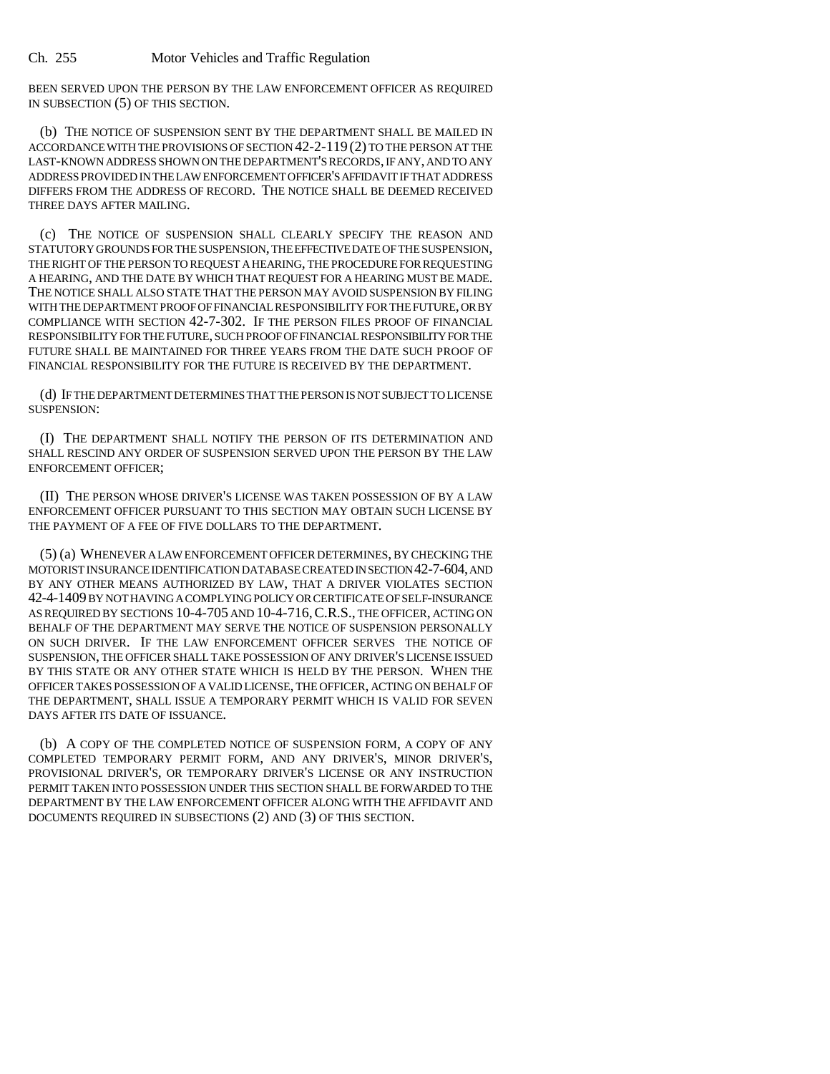BEEN SERVED UPON THE PERSON BY THE LAW ENFORCEMENT OFFICER AS REQUIRED IN SUBSECTION (5) OF THIS SECTION.

(b) THE NOTICE OF SUSPENSION SENT BY THE DEPARTMENT SHALL BE MAILED IN ACCORDANCE WITH THE PROVISIONS OF SECTION 42-2-119 (2) TO THE PERSON AT THE LAST-KNOWN ADDRESS SHOWN ON THE DEPARTMENT'S RECORDS, IF ANY, AND TO ANY ADDRESS PROVIDED IN THE LAW ENFORCEMENT OFFICER'S AFFIDAVIT IF THAT ADDRESS DIFFERS FROM THE ADDRESS OF RECORD. THE NOTICE SHALL BE DEEMED RECEIVED THREE DAYS AFTER MAILING.

(c) THE NOTICE OF SUSPENSION SHALL CLEARLY SPECIFY THE REASON AND STATUTORY GROUNDS FOR THE SUSPENSION, THE EFFECTIVE DATE OF THE SUSPENSION, THE RIGHT OF THE PERSON TO REQUEST A HEARING, THE PROCEDURE FOR REQUESTING A HEARING, AND THE DATE BY WHICH THAT REQUEST FOR A HEARING MUST BE MADE. THE NOTICE SHALL ALSO STATE THAT THE PERSON MAY AVOID SUSPENSION BY FILING WITH THE DEPARTMENT PROOF OF FINANCIAL RESPONSIBILITY FOR THE FUTURE, OR BY COMPLIANCE WITH SECTION 42-7-302. IF THE PERSON FILES PROOF OF FINANCIAL RESPONSIBILITY FOR THE FUTURE, SUCH PROOF OF FINANCIAL RESPONSIBILITY FOR THE FUTURE SHALL BE MAINTAINED FOR THREE YEARS FROM THE DATE SUCH PROOF OF FINANCIAL RESPONSIBILITY FOR THE FUTURE IS RECEIVED BY THE DEPARTMENT.

(d) IF THE DEPARTMENT DETERMINES THAT THE PERSON IS NOT SUBJECT TO LICENSE SUSPENSION:

(I) THE DEPARTMENT SHALL NOTIFY THE PERSON OF ITS DETERMINATION AND SHALL RESCIND ANY ORDER OF SUSPENSION SERVED UPON THE PERSON BY THE LAW ENFORCEMENT OFFICER;

(II) THE PERSON WHOSE DRIVER'S LICENSE WAS TAKEN POSSESSION OF BY A LAW ENFORCEMENT OFFICER PURSUANT TO THIS SECTION MAY OBTAIN SUCH LICENSE BY THE PAYMENT OF A FEE OF FIVE DOLLARS TO THE DEPARTMENT.

(5) (a) WHENEVER A LAW ENFORCEMENT OFFICER DETERMINES, BY CHECKING THE MOTORIST INSURANCE IDENTIFICATION DATABASE CREATED IN SECTION 42-7-604, AND BY ANY OTHER MEANS AUTHORIZED BY LAW, THAT A DRIVER VIOLATES SECTION 42-4-1409 BY NOT HAVING A COMPLYING POLICY OR CERTIFICATE OF SELF-INSURANCE AS REQUIRED BY SECTIONS 10-4-705 AND 10-4-716,C.R.S., THE OFFICER, ACTING ON BEHALF OF THE DEPARTMENT MAY SERVE THE NOTICE OF SUSPENSION PERSONALLY ON SUCH DRIVER. IF THE LAW ENFORCEMENT OFFICER SERVES THE NOTICE OF SUSPENSION, THE OFFICER SHALL TAKE POSSESSION OF ANY DRIVER'S LICENSE ISSUED BY THIS STATE OR ANY OTHER STATE WHICH IS HELD BY THE PERSON. WHEN THE OFFICER TAKES POSSESSION OF A VALID LICENSE, THE OFFICER, ACTING ON BEHALF OF THE DEPARTMENT, SHALL ISSUE A TEMPORARY PERMIT WHICH IS VALID FOR SEVEN DAYS AFTER ITS DATE OF ISSUANCE.

(b) A COPY OF THE COMPLETED NOTICE OF SUSPENSION FORM, A COPY OF ANY COMPLETED TEMPORARY PERMIT FORM, AND ANY DRIVER'S, MINOR DRIVER'S, PROVISIONAL DRIVER'S, OR TEMPORARY DRIVER'S LICENSE OR ANY INSTRUCTION PERMIT TAKEN INTO POSSESSION UNDER THIS SECTION SHALL BE FORWARDED TO THE DEPARTMENT BY THE LAW ENFORCEMENT OFFICER ALONG WITH THE AFFIDAVIT AND DOCUMENTS REQUIRED IN SUBSECTIONS (2) AND (3) OF THIS SECTION.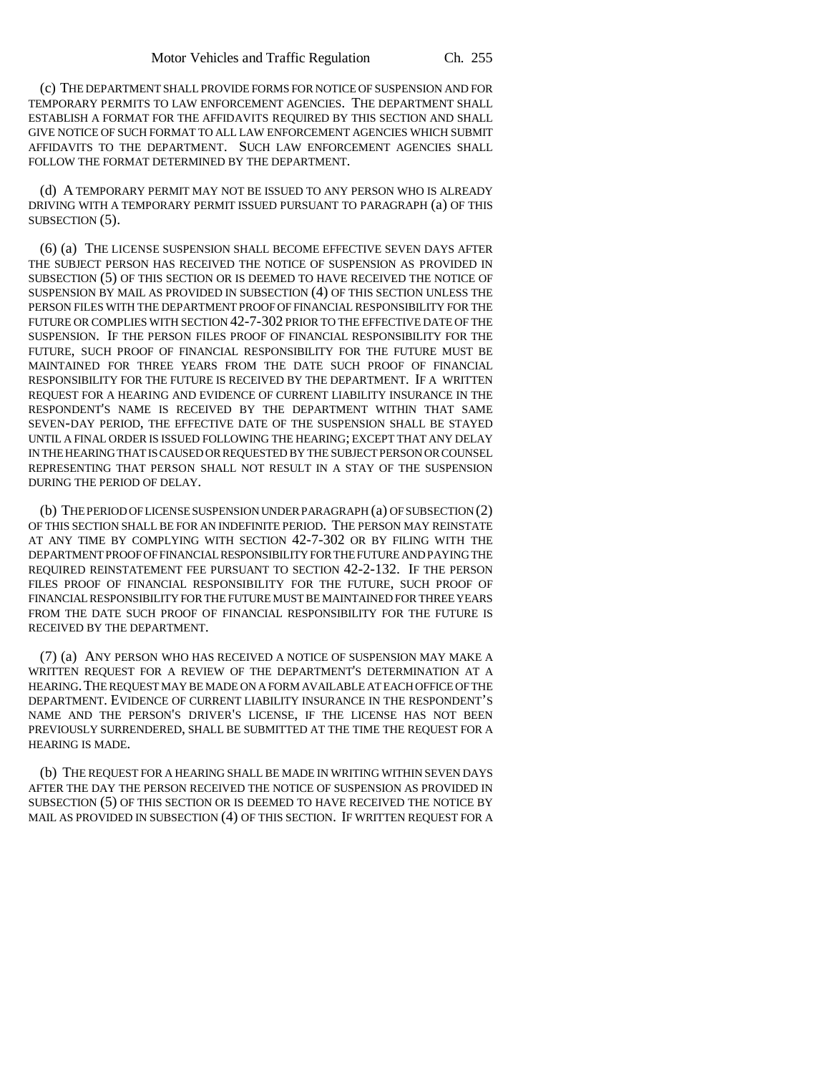(c) THE DEPARTMENT SHALL PROVIDE FORMS FOR NOTICE OF SUSPENSION AND FOR TEMPORARY PERMITS TO LAW ENFORCEMENT AGENCIES. THE DEPARTMENT SHALL ESTABLISH A FORMAT FOR THE AFFIDAVITS REQUIRED BY THIS SECTION AND SHALL GIVE NOTICE OF SUCH FORMAT TO ALL LAW ENFORCEMENT AGENCIES WHICH SUBMIT AFFIDAVITS TO THE DEPARTMENT. SUCH LAW ENFORCEMENT AGENCIES SHALL FOLLOW THE FORMAT DETERMINED BY THE DEPARTMENT.

(d) A TEMPORARY PERMIT MAY NOT BE ISSUED TO ANY PERSON WHO IS ALREADY DRIVING WITH A TEMPORARY PERMIT ISSUED PURSUANT TO PARAGRAPH (a) OF THIS SUBSECTION (5).

(6) (a) THE LICENSE SUSPENSION SHALL BECOME EFFECTIVE SEVEN DAYS AFTER THE SUBJECT PERSON HAS RECEIVED THE NOTICE OF SUSPENSION AS PROVIDED IN SUBSECTION (5) OF THIS SECTION OR IS DEEMED TO HAVE RECEIVED THE NOTICE OF SUSPENSION BY MAIL AS PROVIDED IN SUBSECTION (4) OF THIS SECTION UNLESS THE PERSON FILES WITH THE DEPARTMENT PROOF OF FINANCIAL RESPONSIBILITY FOR THE FUTURE OR COMPLIES WITH SECTION 42-7-302 PRIOR TO THE EFFECTIVE DATE OF THE SUSPENSION. IF THE PERSON FILES PROOF OF FINANCIAL RESPONSIBILITY FOR THE FUTURE, SUCH PROOF OF FINANCIAL RESPONSIBILITY FOR THE FUTURE MUST BE MAINTAINED FOR THREE YEARS FROM THE DATE SUCH PROOF OF FINANCIAL RESPONSIBILITY FOR THE FUTURE IS RECEIVED BY THE DEPARTMENT. IF A WRITTEN REQUEST FOR A HEARING AND EVIDENCE OF CURRENT LIABILITY INSURANCE IN THE RESPONDENT'S NAME IS RECEIVED BY THE DEPARTMENT WITHIN THAT SAME SEVEN-DAY PERIOD, THE EFFECTIVE DATE OF THE SUSPENSION SHALL BE STAYED UNTIL A FINAL ORDER IS ISSUED FOLLOWING THE HEARING; EXCEPT THAT ANY DELAY IN THE HEARING THAT IS CAUSED OR REQUESTED BY THE SUBJECT PERSON OR COUNSEL REPRESENTING THAT PERSON SHALL NOT RESULT IN A STAY OF THE SUSPENSION DURING THE PERIOD OF DELAY.

(b) THE PERIOD OF LICENSE SUSPENSION UNDER PARAGRAPH (a) OF SUBSECTION (2) OF THIS SECTION SHALL BE FOR AN INDEFINITE PERIOD. THE PERSON MAY REINSTATE AT ANY TIME BY COMPLYING WITH SECTION 42-7-302 OR BY FILING WITH THE DEPARTMENT PROOF OF FINANCIAL RESPONSIBILITY FOR THE FUTURE AND PAYING THE REQUIRED REINSTATEMENT FEE PURSUANT TO SECTION 42-2-132. IF THE PERSON FILES PROOF OF FINANCIAL RESPONSIBILITY FOR THE FUTURE, SUCH PROOF OF FINANCIAL RESPONSIBILITY FOR THE FUTURE MUST BE MAINTAINED FOR THREE YEARS FROM THE DATE SUCH PROOF OF FINANCIAL RESPONSIBILITY FOR THE FUTURE IS RECEIVED BY THE DEPARTMENT.

(7) (a) ANY PERSON WHO HAS RECEIVED A NOTICE OF SUSPENSION MAY MAKE A WRITTEN REQUEST FOR A REVIEW OF THE DEPARTMENT'S DETERMINATION AT A HEARING.THE REQUEST MAY BE MADE ON A FORM AVAILABLE AT EACH OFFICE OF THE DEPARTMENT. EVIDENCE OF CURRENT LIABILITY INSURANCE IN THE RESPONDENT'S NAME AND THE PERSON'S DRIVER'S LICENSE, IF THE LICENSE HAS NOT BEEN PREVIOUSLY SURRENDERED, SHALL BE SUBMITTED AT THE TIME THE REQUEST FOR A HEARING IS MADE.

(b) THE REQUEST FOR A HEARING SHALL BE MADE IN WRITING WITHIN SEVEN DAYS AFTER THE DAY THE PERSON RECEIVED THE NOTICE OF SUSPENSION AS PROVIDED IN SUBSECTION (5) OF THIS SECTION OR IS DEEMED TO HAVE RECEIVED THE NOTICE BY MAIL AS PROVIDED IN SUBSECTION (4) OF THIS SECTION. IF WRITTEN REQUEST FOR A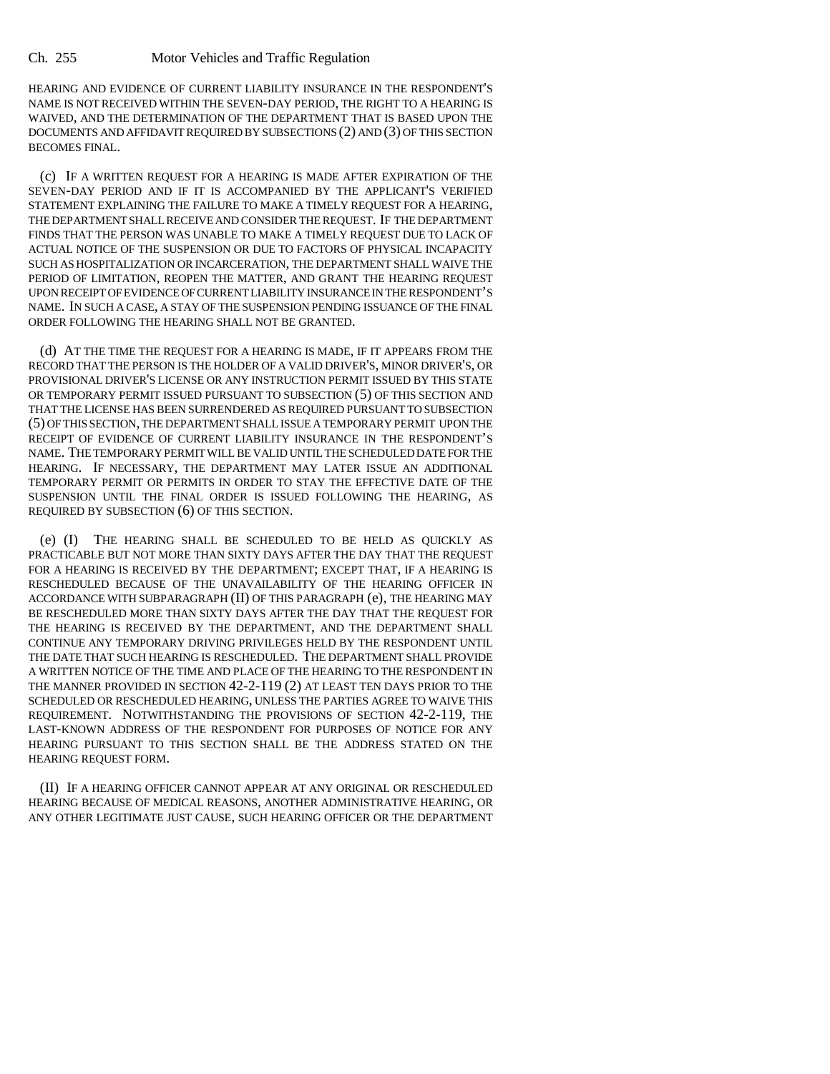HEARING AND EVIDENCE OF CURRENT LIABILITY INSURANCE IN THE RESPONDENT'S NAME IS NOT RECEIVED WITHIN THE SEVEN-DAY PERIOD, THE RIGHT TO A HEARING IS WAIVED, AND THE DETERMINATION OF THE DEPARTMENT THAT IS BASED UPON THE DOCUMENTS AND AFFIDAVIT REQUIRED BY SUBSECTIONS (2) AND (3) OF THIS SECTION BECOMES FINAL.

(c) IF A WRITTEN REQUEST FOR A HEARING IS MADE AFTER EXPIRATION OF THE SEVEN-DAY PERIOD AND IF IT IS ACCOMPANIED BY THE APPLICANT'S VERIFIED STATEMENT EXPLAINING THE FAILURE TO MAKE A TIMELY REQUEST FOR A HEARING, THE DEPARTMENT SHALL RECEIVE AND CONSIDER THE REQUEST. IF THE DEPARTMENT FINDS THAT THE PERSON WAS UNABLE TO MAKE A TIMELY REQUEST DUE TO LACK OF ACTUAL NOTICE OF THE SUSPENSION OR DUE TO FACTORS OF PHYSICAL INCAPACITY SUCH AS HOSPITALIZATION OR INCARCERATION, THE DEPARTMENT SHALL WAIVE THE PERIOD OF LIMITATION, REOPEN THE MATTER, AND GRANT THE HEARING REQUEST UPON RECEIPT OF EVIDENCE OF CURRENT LIABILITY INSURANCE IN THE RESPONDENT'S NAME. IN SUCH A CASE, A STAY OF THE SUSPENSION PENDING ISSUANCE OF THE FINAL ORDER FOLLOWING THE HEARING SHALL NOT BE GRANTED.

(d) AT THE TIME THE REQUEST FOR A HEARING IS MADE, IF IT APPEARS FROM THE RECORD THAT THE PERSON IS THE HOLDER OF A VALID DRIVER'S, MINOR DRIVER'S, OR PROVISIONAL DRIVER'S LICENSE OR ANY INSTRUCTION PERMIT ISSUED BY THIS STATE OR TEMPORARY PERMIT ISSUED PURSUANT TO SUBSECTION (5) OF THIS SECTION AND THAT THE LICENSE HAS BEEN SURRENDERED AS REQUIRED PURSUANT TO SUBSECTION (5) OF THIS SECTION, THE DEPARTMENT SHALL ISSUE A TEMPORARY PERMIT UPON THE RECEIPT OF EVIDENCE OF CURRENT LIABILITY INSURANCE IN THE RESPONDENT'S NAME. THE TEMPORARY PERMIT WILL BE VALID UNTIL THE SCHEDULED DATE FOR THE HEARING. IF NECESSARY, THE DEPARTMENT MAY LATER ISSUE AN ADDITIONAL TEMPORARY PERMIT OR PERMITS IN ORDER TO STAY THE EFFECTIVE DATE OF THE SUSPENSION UNTIL THE FINAL ORDER IS ISSUED FOLLOWING THE HEARING, AS REQUIRED BY SUBSECTION (6) OF THIS SECTION.

(e) (I) THE HEARING SHALL BE SCHEDULED TO BE HELD AS QUICKLY AS PRACTICABLE BUT NOT MORE THAN SIXTY DAYS AFTER THE DAY THAT THE REQUEST FOR A HEARING IS RECEIVED BY THE DEPARTMENT; EXCEPT THAT, IF A HEARING IS RESCHEDULED BECAUSE OF THE UNAVAILABILITY OF THE HEARING OFFICER IN ACCORDANCE WITH SUBPARAGRAPH (II) OF THIS PARAGRAPH (e), THE HEARING MAY BE RESCHEDULED MORE THAN SIXTY DAYS AFTER THE DAY THAT THE REQUEST FOR THE HEARING IS RECEIVED BY THE DEPARTMENT, AND THE DEPARTMENT SHALL CONTINUE ANY TEMPORARY DRIVING PRIVILEGES HELD BY THE RESPONDENT UNTIL THE DATE THAT SUCH HEARING IS RESCHEDULED. THE DEPARTMENT SHALL PROVIDE A WRITTEN NOTICE OF THE TIME AND PLACE OF THE HEARING TO THE RESPONDENT IN THE MANNER PROVIDED IN SECTION 42-2-119 (2) AT LEAST TEN DAYS PRIOR TO THE SCHEDULED OR RESCHEDULED HEARING, UNLESS THE PARTIES AGREE TO WAIVE THIS REQUIREMENT. NOTWITHSTANDING THE PROVISIONS OF SECTION 42-2-119, THE LAST-KNOWN ADDRESS OF THE RESPONDENT FOR PURPOSES OF NOTICE FOR ANY HEARING PURSUANT TO THIS SECTION SHALL BE THE ADDRESS STATED ON THE HEARING REQUEST FORM.

(II) IF A HEARING OFFICER CANNOT APPEAR AT ANY ORIGINAL OR RESCHEDULED HEARING BECAUSE OF MEDICAL REASONS, ANOTHER ADMINISTRATIVE HEARING, OR ANY OTHER LEGITIMATE JUST CAUSE, SUCH HEARING OFFICER OR THE DEPARTMENT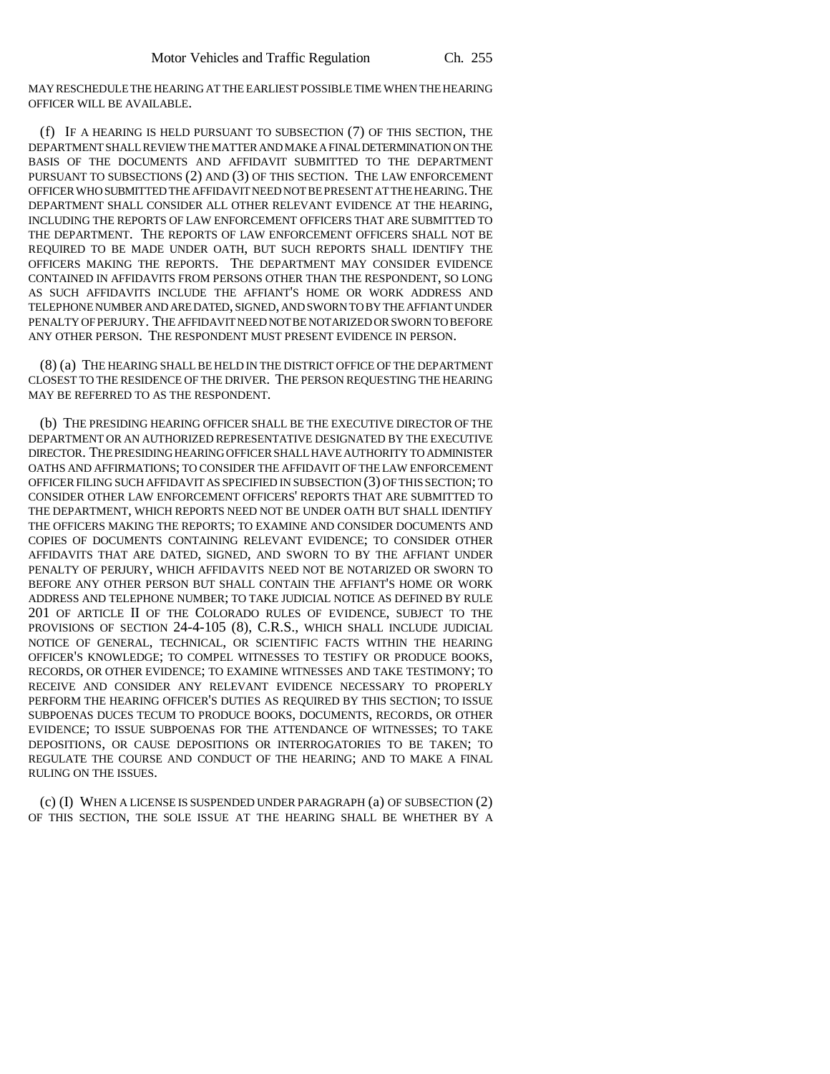MAY RESCHEDULE THE HEARING AT THE EARLIEST POSSIBLE TIME WHEN THE HEARING OFFICER WILL BE AVAILABLE.

(f) IF A HEARING IS HELD PURSUANT TO SUBSECTION (7) OF THIS SECTION, THE DEPARTMENT SHALL REVIEW THE MATTER AND MAKE A FINAL DETERMINATION ON THE BASIS OF THE DOCUMENTS AND AFFIDAVIT SUBMITTED TO THE DEPARTMENT PURSUANT TO SUBSECTIONS (2) AND (3) OF THIS SECTION. THE LAW ENFORCEMENT OFFICER WHO SUBMITTED THE AFFIDAVIT NEED NOT BE PRESENT AT THE HEARING.THE DEPARTMENT SHALL CONSIDER ALL OTHER RELEVANT EVIDENCE AT THE HEARING, INCLUDING THE REPORTS OF LAW ENFORCEMENT OFFICERS THAT ARE SUBMITTED TO THE DEPARTMENT. THE REPORTS OF LAW ENFORCEMENT OFFICERS SHALL NOT BE REQUIRED TO BE MADE UNDER OATH, BUT SUCH REPORTS SHALL IDENTIFY THE OFFICERS MAKING THE REPORTS. THE DEPARTMENT MAY CONSIDER EVIDENCE CONTAINED IN AFFIDAVITS FROM PERSONS OTHER THAN THE RESPONDENT, SO LONG AS SUCH AFFIDAVITS INCLUDE THE AFFIANT'S HOME OR WORK ADDRESS AND TELEPHONE NUMBER AND ARE DATED, SIGNED, AND SWORN TO BY THE AFFIANT UNDER PENALTY OF PERJURY. THE AFFIDAVIT NEED NOT BE NOTARIZED OR SWORN TO BEFORE ANY OTHER PERSON. THE RESPONDENT MUST PRESENT EVIDENCE IN PERSON.

(8) (a) THE HEARING SHALL BE HELD IN THE DISTRICT OFFICE OF THE DEPARTMENT CLOSEST TO THE RESIDENCE OF THE DRIVER. THE PERSON REQUESTING THE HEARING MAY BE REFERRED TO AS THE RESPONDENT.

(b) THE PRESIDING HEARING OFFICER SHALL BE THE EXECUTIVE DIRECTOR OF THE DEPARTMENT OR AN AUTHORIZED REPRESENTATIVE DESIGNATED BY THE EXECUTIVE DIRECTOR. THE PRESIDING HEARING OFFICER SHALL HAVE AUTHORITY TO ADMINISTER OATHS AND AFFIRMATIONS; TO CONSIDER THE AFFIDAVIT OF THE LAW ENFORCEMENT OFFICER FILING SUCH AFFIDAVIT AS SPECIFIED IN SUBSECTION (3) OF THIS SECTION; TO CONSIDER OTHER LAW ENFORCEMENT OFFICERS' REPORTS THAT ARE SUBMITTED TO THE DEPARTMENT, WHICH REPORTS NEED NOT BE UNDER OATH BUT SHALL IDENTIFY THE OFFICERS MAKING THE REPORTS; TO EXAMINE AND CONSIDER DOCUMENTS AND COPIES OF DOCUMENTS CONTAINING RELEVANT EVIDENCE; TO CONSIDER OTHER AFFIDAVITS THAT ARE DATED, SIGNED, AND SWORN TO BY THE AFFIANT UNDER PENALTY OF PERJURY, WHICH AFFIDAVITS NEED NOT BE NOTARIZED OR SWORN TO BEFORE ANY OTHER PERSON BUT SHALL CONTAIN THE AFFIANT'S HOME OR WORK ADDRESS AND TELEPHONE NUMBER; TO TAKE JUDICIAL NOTICE AS DEFINED BY RULE 201 OF ARTICLE II OF THE COLORADO RULES OF EVIDENCE, SUBJECT TO THE PROVISIONS OF SECTION 24-4-105 (8), C.R.S., WHICH SHALL INCLUDE JUDICIAL NOTICE OF GENERAL, TECHNICAL, OR SCIENTIFIC FACTS WITHIN THE HEARING OFFICER'S KNOWLEDGE; TO COMPEL WITNESSES TO TESTIFY OR PRODUCE BOOKS, RECORDS, OR OTHER EVIDENCE; TO EXAMINE WITNESSES AND TAKE TESTIMONY; TO RECEIVE AND CONSIDER ANY RELEVANT EVIDENCE NECESSARY TO PROPERLY PERFORM THE HEARING OFFICER'S DUTIES AS REQUIRED BY THIS SECTION; TO ISSUE SUBPOENAS DUCES TECUM TO PRODUCE BOOKS, DOCUMENTS, RECORDS, OR OTHER EVIDENCE; TO ISSUE SUBPOENAS FOR THE ATTENDANCE OF WITNESSES; TO TAKE DEPOSITIONS, OR CAUSE DEPOSITIONS OR INTERROGATORIES TO BE TAKEN; TO REGULATE THE COURSE AND CONDUCT OF THE HEARING; AND TO MAKE A FINAL RULING ON THE ISSUES.

(c) (I) WHEN A LICENSE IS SUSPENDED UNDER PARAGRAPH (a) OF SUBSECTION (2) OF THIS SECTION, THE SOLE ISSUE AT THE HEARING SHALL BE WHETHER BY A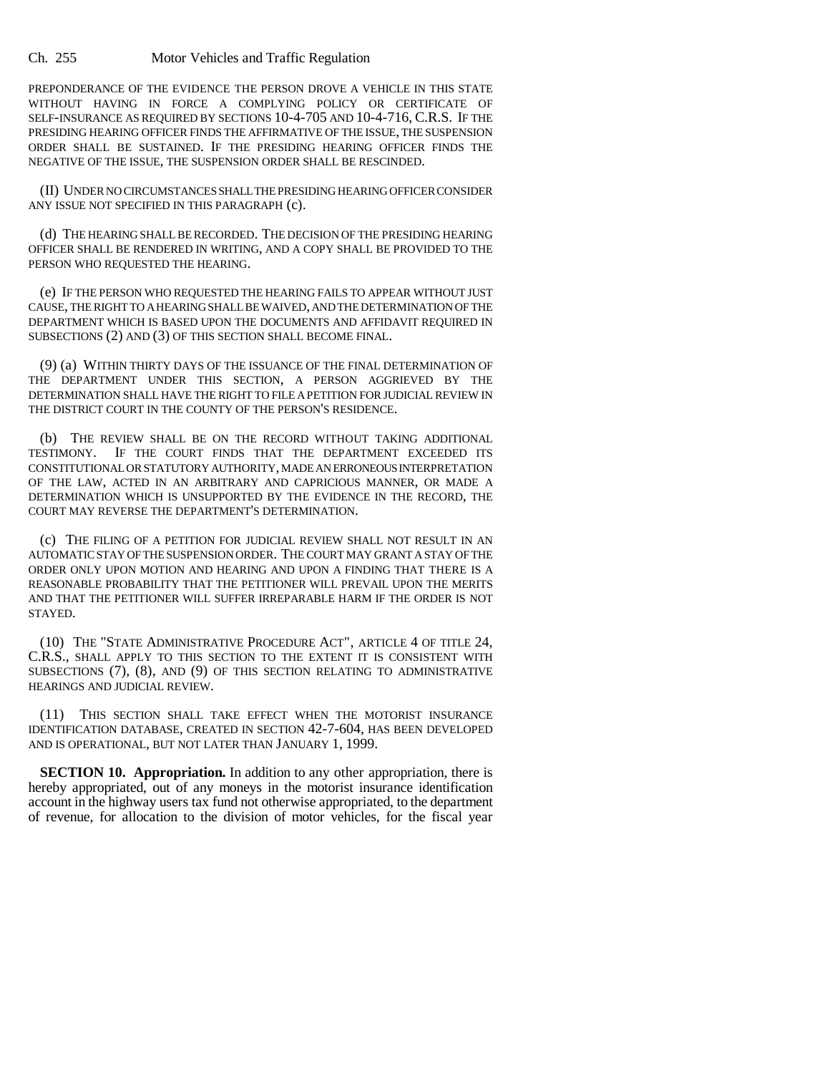PREPONDERANCE OF THE EVIDENCE THE PERSON DROVE A VEHICLE IN THIS STATE WITHOUT HAVING IN FORCE A COMPLYING POLICY OR CERTIFICATE OF SELF-INSURANCE AS REQUIRED BY SECTIONS 10-4-705 AND 10-4-716, C.R.S. IF THE PRESIDING HEARING OFFICER FINDS THE AFFIRMATIVE OF THE ISSUE, THE SUSPENSION ORDER SHALL BE SUSTAINED. IF THE PRESIDING HEARING OFFICER FINDS THE NEGATIVE OF THE ISSUE, THE SUSPENSION ORDER SHALL BE RESCINDED.

(II) UNDER NO CIRCUMSTANCES SHALL THE PRESIDING HEARING OFFICER CONSIDER ANY ISSUE NOT SPECIFIED IN THIS PARAGRAPH (c).

(d) THE HEARING SHALL BE RECORDED. THE DECISION OF THE PRESIDING HEARING OFFICER SHALL BE RENDERED IN WRITING, AND A COPY SHALL BE PROVIDED TO THE PERSON WHO REQUESTED THE HEARING.

(e) IF THE PERSON WHO REQUESTED THE HEARING FAILS TO APPEAR WITHOUT JUST CAUSE, THE RIGHT TO A HEARING SHALL BE WAIVED, AND THE DETERMINATION OF THE DEPARTMENT WHICH IS BASED UPON THE DOCUMENTS AND AFFIDAVIT REQUIRED IN SUBSECTIONS (2) AND (3) OF THIS SECTION SHALL BECOME FINAL.

(9) (a) WITHIN THIRTY DAYS OF THE ISSUANCE OF THE FINAL DETERMINATION OF THE DEPARTMENT UNDER THIS SECTION, A PERSON AGGRIEVED BY THE DETERMINATION SHALL HAVE THE RIGHT TO FILE A PETITION FOR JUDICIAL REVIEW IN THE DISTRICT COURT IN THE COUNTY OF THE PERSON'S RESIDENCE.

(b) THE REVIEW SHALL BE ON THE RECORD WITHOUT TAKING ADDITIONAL TESTIMONY. IF THE COURT FINDS THAT THE DEPARTMENT EXCEEDED ITS CONSTITUTIONAL OR STATUTORY AUTHORITY, MADE AN ERRONEOUS INTERPRETATION OF THE LAW, ACTED IN AN ARBITRARY AND CAPRICIOUS MANNER, OR MADE A DETERMINATION WHICH IS UNSUPPORTED BY THE EVIDENCE IN THE RECORD, THE COURT MAY REVERSE THE DEPARTMENT'S DETERMINATION.

(c) THE FILING OF A PETITION FOR JUDICIAL REVIEW SHALL NOT RESULT IN AN AUTOMATIC STAY OF THE SUSPENSION ORDER. THE COURT MAY GRANT A STAY OF THE ORDER ONLY UPON MOTION AND HEARING AND UPON A FINDING THAT THERE IS A REASONABLE PROBABILITY THAT THE PETITIONER WILL PREVAIL UPON THE MERITS AND THAT THE PETITIONER WILL SUFFER IRREPARABLE HARM IF THE ORDER IS NOT STAYED.

(10) THE "STATE ADMINISTRATIVE PROCEDURE ACT", ARTICLE 4 OF TITLE 24, C.R.S., SHALL APPLY TO THIS SECTION TO THE EXTENT IT IS CONSISTENT WITH SUBSECTIONS (7), (8), AND (9) OF THIS SECTION RELATING TO ADMINISTRATIVE HEARINGS AND JUDICIAL REVIEW.

(11) THIS SECTION SHALL TAKE EFFECT WHEN THE MOTORIST INSURANCE IDENTIFICATION DATABASE, CREATED IN SECTION 42-7-604, HAS BEEN DEVELOPED AND IS OPERATIONAL, BUT NOT LATER THAN JANUARY 1, 1999.

**SECTION 10. Appropriation.** In addition to any other appropriation, there is hereby appropriated, out of any moneys in the motorist insurance identification account in the highway users tax fund not otherwise appropriated, to the department of revenue, for allocation to the division of motor vehicles, for the fiscal year